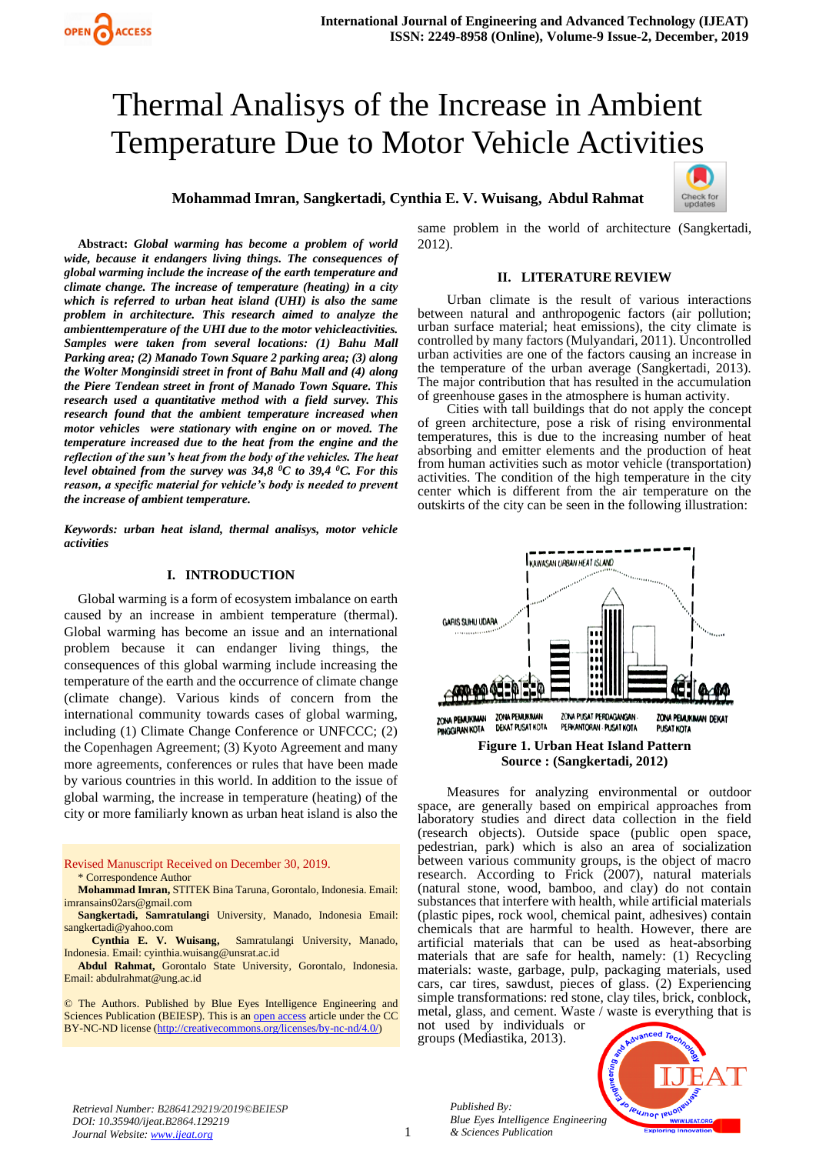# Thermal Analisys of the Increase in Ambient Temperature Due to Motor Vehicle Activities

**Mohammad Imran, Sangkertadi, Cynthia E. V. Wuisang, Abdul Rahmat**



**Abstract:** *Global warming has become a problem of world wide, because it endangers living things. The consequences of global warming include the increase of the earth temperature and climate change. The increase of temperature (heating) in a city which is referred to urban heat island (UHI) is also the same problem in architecture. This research aimed to analyze the ambienttemperature of the UHI due to the motor vehicleactivities. Samples were taken from several locations: (1) Bahu Mall Parking area; (2) Manado Town Square 2 parking area; (3) along the Wolter Monginsidi street in front of Bahu Mall and (4) along the Piere Tendean street in front of Manado Town Square. This research used a quantitative method with a field survey. This research found that the ambient temperature increased when motor vehicles were stationary with engine on or moved. The temperature increased due to the heat from the engine and the reflection of the sun's heat from the body of the vehicles. The heat level obtained from the survey was 34,8 <sup>0</sup>C to 39,4 <sup>0</sup>C. For this reason, a specific material for vehicle's body is needed to prevent the increase of ambient temperature.*

*Keywords: urban heat island, thermal analisys, motor vehicle activities*

## **I. INTRODUCTION**

Global warming is a form of ecosystem imbalance on earth caused by an increase in ambient temperature (thermal). Global warming has become an issue and an international problem because it can endanger living things, the consequences of this global warming include increasing the temperature of the earth and the occurrence of climate change (climate change). Various kinds of concern from the international community towards cases of global warming, including (1) Climate Change Conference or UNFCCC; (2) the Copenhagen Agreement; (3) Kyoto Agreement and many more agreements, conferences or rules that have been made by various countries in this world. In addition to the issue of global warming, the increase in temperature (heating) of the city or more familiarly known as urban heat island is also the

#### Revised Manuscript Received on December 30, 2019. \* Correspondence Author

**Mohammad Imran,** STITEK Bina Taruna, Gorontalo, Indonesia. Email: [imransains02ars@gmail.com](mailto:imransains02ars@gmail.com)

**Sangkertadi, Samratulangi** University, Manado, Indonesia Email: [sangkertadi@yahoo.com](mailto:sangkertadi@yahoo.com)

 **Cynthia E. V. Wuisang,** Samratulangi University, Manado, Indonesia. Email[: cyinthia.wuisang@unsrat.ac.id](mailto:cyinthia.wuisang@unsrat.ac.id)

**Abdul Rahmat,** Gorontalo State University, Gorontalo, Indonesia. Email[: abdulrahmat@ung.ac.id](mailto:abdulrahmat@ung.ac.id)

© The Authors. Published by Blue Eyes Intelligence Engineering and Sciences Publication (BEIESP). This is a[n open access](https://www.openaccess.nl/en/open-publications) article under the CC BY-NC-ND license [\(http://creativecommons.org/licenses/by-nc-nd/4.0/\)](http://creativecommons.org/licenses/by-nc-nd/4.0/)

same problem in the world of architecture (Sangkertadi, 2012).

## **II. LITERATURE REVIEW**

Urban climate is the result of various interactions between natural and anthropogenic factors (air pollution; urban surface material; heat emissions), the city climate is controlled by many factors (Mulyandari, 2011). Uncontrolled urban activities are one of the factors causing an increase in the temperature of the urban average (Sangkertadi, 2013). The major contribution that has resulted in the accumulation of greenhouse gases in the atmosphere is human activity.

Cities with tall buildings that do not apply the concept of green architecture, pose a risk of rising environmental temperatures, this is due to the increasing number of heat absorbing and emitter elements and the production of heat from human activities such as motor vehicle (transportation) activities. The condition of the high temperature in the city center which is different from the air temperature on the outskirts of the city can be seen in the following illustration:



Measures for analyzing environmental or outdoor space, are generally based on empirical approaches from laboratory studies and direct data collection in the field (research objects). Outside space (public open space, pedestrian, park) which is also an area of socialization between various community groups, is the object of macro research. According to Frick (2007), natural materials (natural stone, wood, bamboo, and clay) do not contain substances that interfere with health, while artificial materials (plastic pipes, rock wool, chemical paint, adhesives) contain chemicals that are harmful to health. However, there are artificial materials that can be used as heat-absorbing materials that are safe for health, namely: (1) Recycling materials: waste, garbage, pulp, packaging materials, used cars, car tires, sawdust, pieces of glass. (2) Experiencing simple transformations: red stone, clay tiles, brick, conblock, metal, glass, and cement. Waste / waste is everything that is

not used by individuals or groups (Mediastika, 2013).



*Retrieval Number: B2864129219/2019©BEIESP DOI: 10.35940/ijeat.B2864.129219 Journal Website[: www.ijeat.org](http://www.ijeat.org/)*

*Published By: Blue Eyes Intelligence Engineering & Sciences Publication*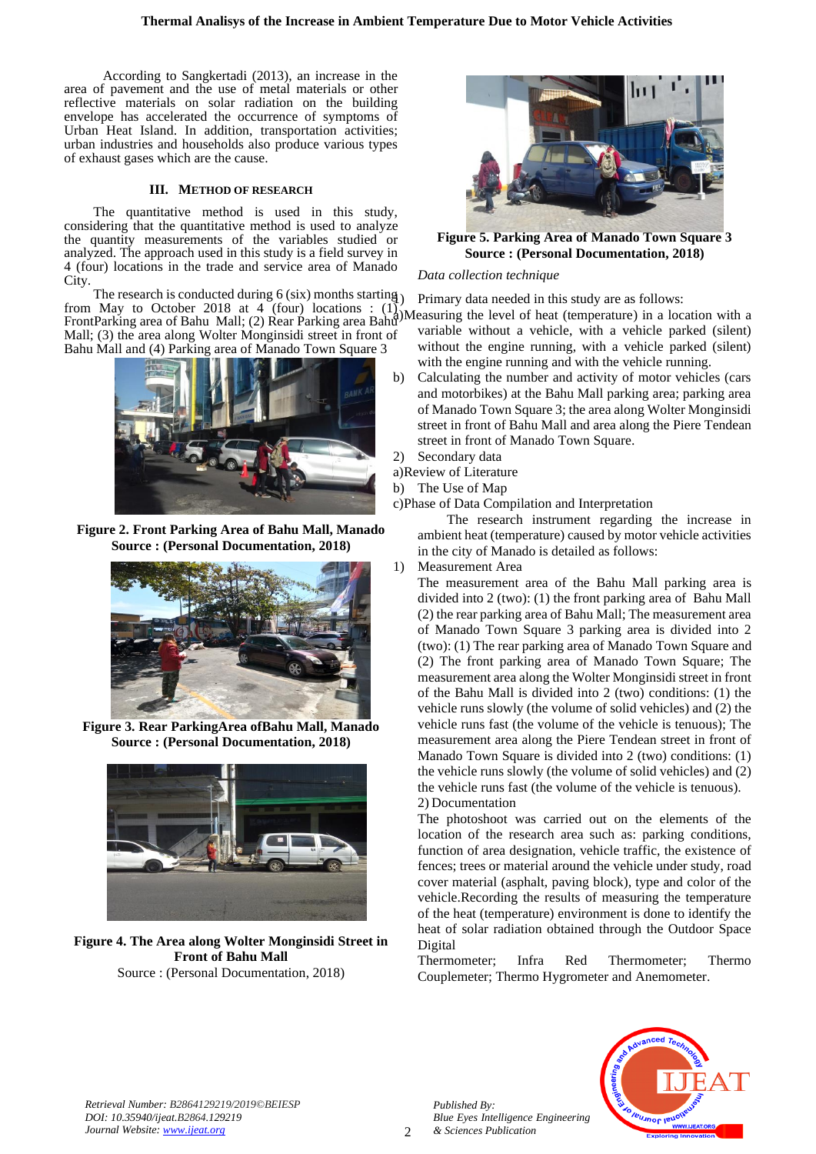According to Sangkertadi (2013), an increase in the area of pavement and the use of metal materials or other reflective materials on solar radiation on the building envelope has accelerated the occurrence of symptoms of Urban Heat Island. In addition, transportation activities; urban industries and households also produce various types of exhaust gases which are the cause.

## **III. METHOD OF RESEARCH**

The quantitative method is used in this study, considering that the quantitative method is used to analyze the quantity measurements of the variables studied or analyzed. The approach used in this study is a field survey in 4 (four) locations in the trade and service area of Manado City.

The research is conducted during 6 (six) months starting<br>from May to October 2018 at 4 (four) locations :  $(1)$ from May to October 2018 at 4 (four) locations :  $(1)$ . FrontParking area of Bahu Mall; (2) Rear Parking area Bahu Measuring the level of heat (temperature) in a location with a FrontParking area of Bahu Mall; (2) Rear Parking area Bahu Mall; (3) the area along Wolter Monginsidi street in front of Bahu Mall and (4) Parking area of Manado Town Square 3



**Figure 2. Front Parking Area of Bahu Mall, Manado Source : (Personal Documentation, 2018)**



**Figure 3. Rear ParkingArea ofBahu Mall, Manado Source : (Personal Documentation, 2018)**



**Figure 4. The Area along Wolter Monginsidi Street in Front of Bahu Mall** Source : (Personal Documentation, 2018)



**Figure 5. Parking Area of Manado Town Square 3 Source : (Personal Documentation, 2018)**

## *Data collection technique*

Primary data needed in this study are as follows:

- variable without a vehicle, with a vehicle parked (silent) without the engine running, with a vehicle parked (silent) with the engine running and with the vehicle running.
- b) Calculating the number and activity of motor vehicles (cars and motorbikes) at the Bahu Mall parking area; parking area of Manado Town Square 3; the area along Wolter Monginsidi street in front of Bahu Mall and area along the Piere Tendean street in front of Manado Town Square.
- 2) Secondary data
- a)Review of Literature
- b) The Use of Map

c)Phase of Data Compilation and Interpretation

The research instrument regarding the increase in ambient heat (temperature) caused by motor vehicle activities in the city of Manado is detailed as follows:

1) Measurement Area

The measurement area of the Bahu Mall parking area is divided into 2 (two): (1) the front parking area of Bahu Mall (2) the rear parking area of Bahu Mall; The measurement area of Manado Town Square 3 parking area is divided into 2 (two): (1) The rear parking area of Manado Town Square and (2) The front parking area of Manado Town Square; The measurement area along the Wolter Monginsidi street in front of the Bahu Mall is divided into 2 (two) conditions: (1) the vehicle runs slowly (the volume of solid vehicles) and (2) the vehicle runs fast (the volume of the vehicle is tenuous); The measurement area along the Piere Tendean street in front of Manado Town Square is divided into 2 (two) conditions: (1) the vehicle runs slowly (the volume of solid vehicles) and (2) the vehicle runs fast (the volume of the vehicle is tenuous). 2) Documentation

The photoshoot was carried out on the elements of the location of the research area such as: parking conditions, function of area designation, vehicle traffic, the existence of fences; trees or material around the vehicle under study, road cover material (asphalt, paving block), type and color of the vehicle.Recording the results of measuring the temperature of the heat (temperature) environment is done to identify the heat of solar radiation obtained through the Outdoor Space Digital

Thermometer; Infra Red Thermometer; Thermo Couplemeter; Thermo Hygrometer and Anemometer.



*Published By:*

*& Sciences Publication* 

*Blue Eyes Intelligence Engineering*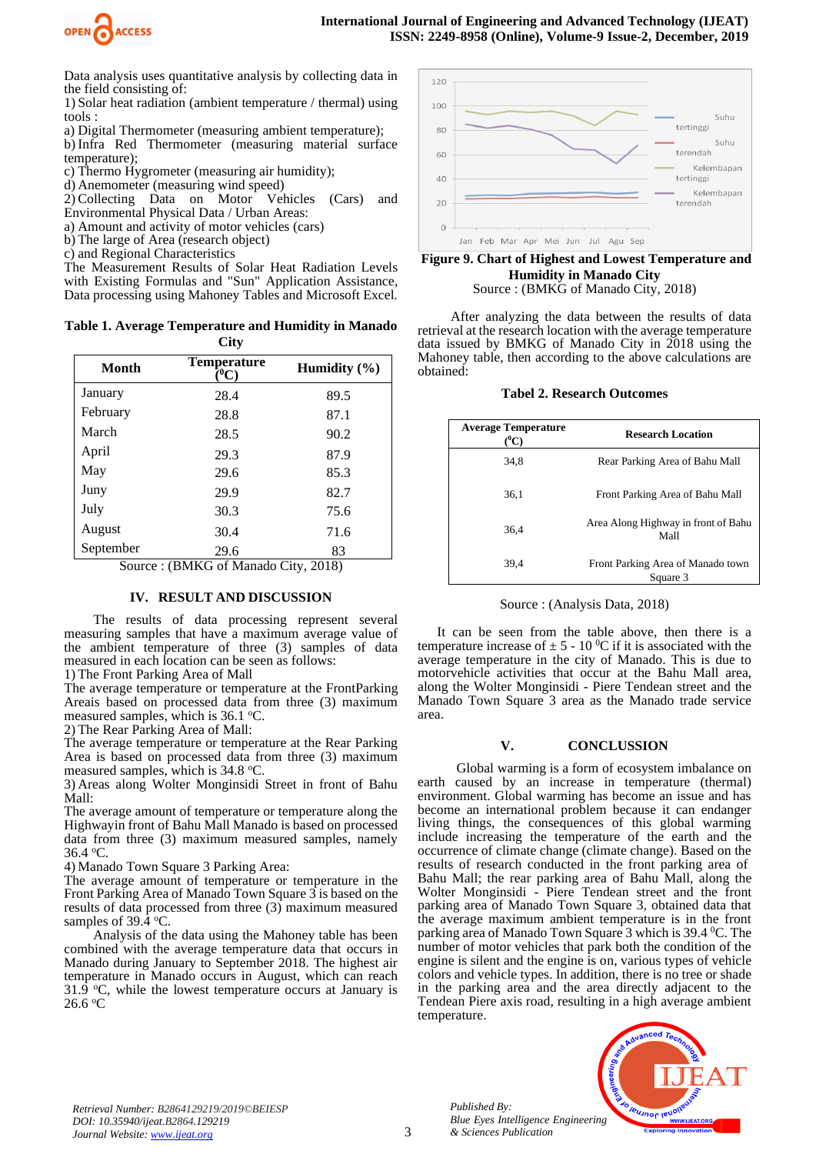

Data analysis uses quantitative analysis by collecting data in the field consisting of:

1) Solar heat radiation (ambient temperature / thermal) using tools :

a) Digital Thermometer (measuring ambient temperature);

b) Infra Red Thermometer (measuring material surface temperature);

c) Thermo Hygrometer (measuring air humidity);

d) Anemometer (measuring wind speed)

2) Collecting Data on Motor Vehicles (Cars) and Environmental Physical Data / Urban Areas:

a) Amount and activity of motor vehicles (cars)

b) The large of Area (research object)

c) and Regional Characteristics

The Measurement Results of Solar Heat Radiation Levels with Existing Formulas and "Sun" Application Assistance, Data processing using Mahoney Tables and Microsoft Excel.

**Table 1. Average Temperature and Humidity in Manado City**

| Month               | <b>Temperature</b><br>(°C)                      | Humidity $(\% )$      |
|---------------------|-------------------------------------------------|-----------------------|
| January             | 28.4                                            | 89.5                  |
| February            | 28.8                                            | 87.1                  |
| March               | 28.5                                            | 90.2                  |
| April               | 29.3                                            | 87.9                  |
| May                 | 29.6                                            | 85.3                  |
| Juny                | 29.9                                            | 82.7                  |
| July                | 30.3                                            | 75.6                  |
| August              | 30.4                                            | 71.6                  |
| September<br>$\sim$ | 29.6<br>$\sum_{i=1}^{n}$<br>C X<br>$\mathbf{1}$ | 83<br>$\sim$<br>0.010 |

Source : (BMKG of Manado City, 2018)

## **IV. RESULT AND DISCUSSION**

The results of data processing represent several measuring samples that have a maximum average value of the ambient temperature of three (3) samples of data measured in each location can be seen as follows:

1) The Front Parking Area of Mall

The average temperature or temperature at the FrontParking Areais based on processed data from three (3) maximum measured samples, which is  $36.1 \degree C$ .

2) The Rear Parking Area of Mall:

The average temperature or temperature at the Rear Parking Area is based on processed data from three (3) maximum measured samples, which is 34.8 °C.

3) Areas along Wolter Monginsidi Street in front of Bahu Mall:

The average amount of temperature or temperature along the Highwayin front of Bahu Mall Manado is based on processed data from three (3) maximum measured samples, namely 36.4 <sup>o</sup>C.

4) Manado Town Square 3 Parking Area:

The average amount of temperature or temperature in the Front Parking Area of Manado Town Square 3 is based on the results of data processed from three (3) maximum measured samples of  $39.\dot{4}$  °C.

Analysis of the data using the Mahoney table has been combined with the average temperature data that occurs in Manado during January to September 2018. The highest air temperature in Manado occurs in August, which can reach 31.9  $\degree$ C, while the lowest temperature occurs at January is 26.6 <sup>o</sup>C



## **Figure 9. Chart of Highest and Lowest Temperature and Humidity in Manado City** Source : (BMKG of Manado City, 2018)

After analyzing the data between the results of data retrieval at the research location with the average temperature data issued by BMKG of Manado City in 2018 using the Mahoney table, then according to the above calculations are obtained:

|  |  |  | <b>Tabel 2. Research Outcomes</b> |
|--|--|--|-----------------------------------|
|--|--|--|-----------------------------------|

| <b>Average Temperature</b><br>$(^0\mathrm{C})$ | <b>Research Location</b>                      |
|------------------------------------------------|-----------------------------------------------|
| 34.8                                           | Rear Parking Area of Bahu Mall                |
| 36.1                                           | Front Parking Area of Bahu Mall               |
| 36.4                                           | Area Along Highway in front of Bahu<br>Mall   |
| 39.4                                           | Front Parking Area of Manado town<br>Square 3 |

Source : (Analysis Data, 2018)

It can be seen from the table above, then there is a temperature increase of  $\pm$  5 - 10 <sup>o</sup>C if it is associated with the average temperature in the city of Manado. This is due to motorvehicle activities that occur at the Bahu Mall area, along the Wolter Monginsidi - Piere Tendean street and the Manado Town Square 3 area as the Manado trade service area.

## **V. CONCLUSSION**

Global warming is a form of ecosystem imbalance on earth caused by an increase in temperature (thermal) environment. Global warming has become an issue and has become an international problem because it can endanger living things, the consequences of this global warming include increasing the temperature of the earth and the occurrence of climate change (climate change). Based on the results of research conducted in the front parking area of Bahu Mall; the rear parking area of Bahu Mall, along the Wolter Monginsidi - Piere Tendean street and the front parking area of Manado Town Square 3, obtained data that the average maximum ambient temperature is in the front parking area of Manado Town Square 3 which is 39.4 <sup>0</sup>C. The number of motor vehicles that park both the condition of the engine is silent and the engine is on, various types of vehicle colors and vehicle types. In addition, there is no tree or shade in the parking area and the area directly adjacent to the Tendean Piere axis road, resulting in a high average ambient temperature.



*Retrieval Number: B2864129219/2019©BEIESP DOI: 10.35940/ijeat.B2864.129219 Journal Website[: www.ijeat.org](http://www.ijeat.org/)*

*Published By:*

*& Sciences Publication*